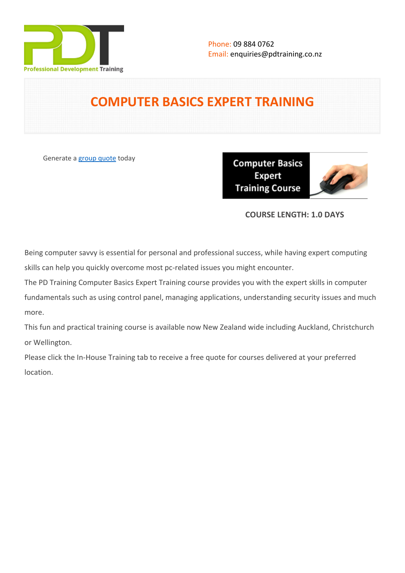

# **COMPUTER BASICS EXPERT TRAINING**

Generate a [group quote](https://pdtraining.co.nz/inhouse-training-quote?cse=PDU00041) today

**Computer Basics Expert Training Course** 



# **COURSE LENGTH: 1.0 DAYS**

Being computer savvy is essential for personal and professional success, while having expert computing skills can help you quickly overcome most pc-related issues you might encounter.

The PD Training Computer Basics Expert Training course provides you with the expert skills in computer fundamentals such as using control panel, managing applications, understanding security issues and much more.

This fun and practical training course is available now New Zealand wide including Auckland, Christchurch or Wellington.

Please click the In-House Training tab to receive a free quote for courses delivered at your preferred location.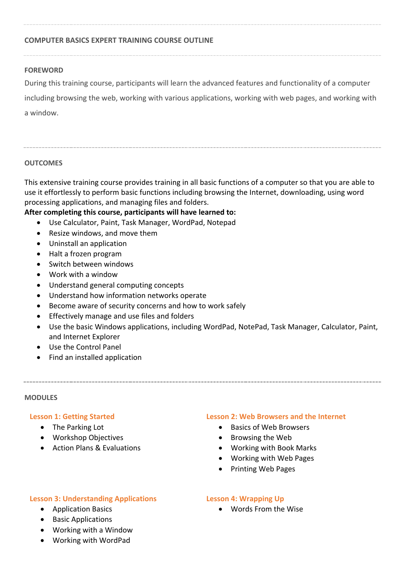### **COMPUTER BASICS EXPERT TRAINING COURSE OUTLINE**

#### **FOREWORD**

During this training course, participants will learn the advanced features and functionality of a computer

including browsing the web, working with various applications, working with web pages, and working with a window.

### **OUTCOMES**

This extensive training course provides training in all basic functions of a computer so that you are able to use it effortlessly to perform basic functions including browsing the Internet, downloading, using word processing applications, and managing files and folders.

## **After completing this course, participants will have learned to:**

- Use Calculator, Paint, Task Manager, WordPad, Notepad
- Resize windows, and move them
- Uninstall an application
- Halt a frozen program
- Switch between windows
- Work with a window
- Understand general computing concepts
- Understand how information networks operate
- Become aware of security concerns and how to work safely
- **•** Effectively manage and use files and folders
- Use the basic Windows applications, including WordPad, NotePad, Task Manager, Calculator, Paint, and Internet Explorer
- Use the Control Panel
- Find an installed application

#### **MODULES**

### **Lesson 1: Getting Started**

- The Parking Lot
- Workshop Objectives
- Action Plans & Evaluations

#### **Lesson 2: Web Browsers and the Internet**

- Basics of Web Browsers
- Browsing the Web
- Working with Book Marks
- Working with Web Pages
- Printing Web Pages

### **Lesson 3: Understanding Applications**

- Application Basics
- Basic Applications
- Working with a Window

### Working with WordPad

### **Lesson 4: Wrapping Up**

Words From the Wise